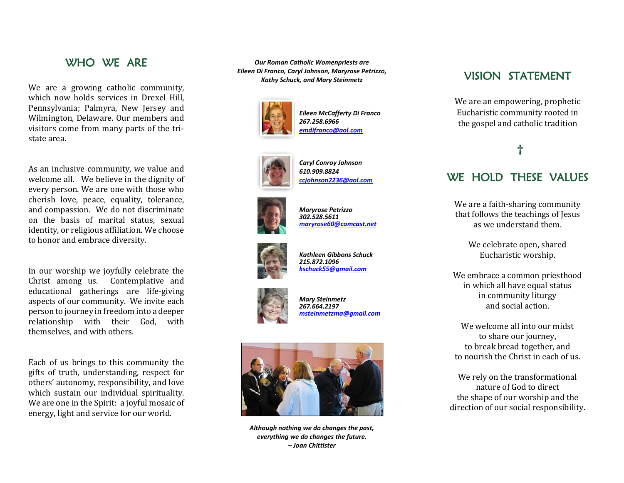### WHO WF ARE

We are a growing catholic community, which now holds services in Drexel Hill , Pennsylvania; Palmyra, New Jersey and Wilmington, Delaware. Our members and visitors come from many parts of the tri state area.

As an inclusive community, we value and welcome all. We believe in the dignity of every person. We are one with those who cherish love, peace, equality, tolerance, and compassion. We do not discriminate on the basis of marital status, sexual identity, or religious affiliation. We choose to honor and embrace diversity.

In our worship we joyfully celebrate the Christ among us. Contemplative and educational gatherings are life -giving aspects of our community. We invite each person to journey in freedom into a deeper relationship with their God, with themselves, and with others.

Each of us bring s to this community the gifts of truth, understanding, respect for others' autonomy, responsibility , and love which sustain our individual spirituality. We are one in the Spirit: a joyful mosaic of energy , light and service for our world.

*Our Roman Catholic Womenpriests are Eileen Di Franco, Caryl Johnson, Maryrose Petrizzo, Kathy Schuck, and Mary Steinmetz*



*Eileen McCafferty Di Franco 267.258.6966 [emdifranco@aol.com](mailto:emdifranco@aol.com)*



*Caryl Conroy Johnson 610.909.8824 [ccjohnson2236@aol.com](mailto:ccjohnson2236@aol.com)*



*Maryrose Petrizzo 302.528.5611 [maryrose60@comcast.net](mailto:maryrose60@comcast.net)*



*Kathleen Gibbons Schuck 215.872.1096 [kschuck55@gmail.com](mailto:kschuck55@gmail.com)*



*Mary Steinmetz 267.664.2197 [msteinmetzma@gmail.com](mailto:msteinmetzma@gmail.com)*



*Although nothing we do changes the past, everything we do changes the future.*

### VISION STATEMENT

We are an empowering, prophetic Eucharistic community rooted in the gospel and catholic tradition

## **†**

### WE HOLD THESE VALUES

We are a faith -sharing community that follows the teachings of Jesus as we understand them.

> We celebrate open, shared Eucharistic worship.

We embrace a common priesthood in which all have equal status in community liturgy and social action.

We welcome all into our midst to share our journey, to break bread together, and to nourish the Christ in each of us.

We rely on the transformational nature of God to direct the shape of our worship and the direction of our social responsibility.